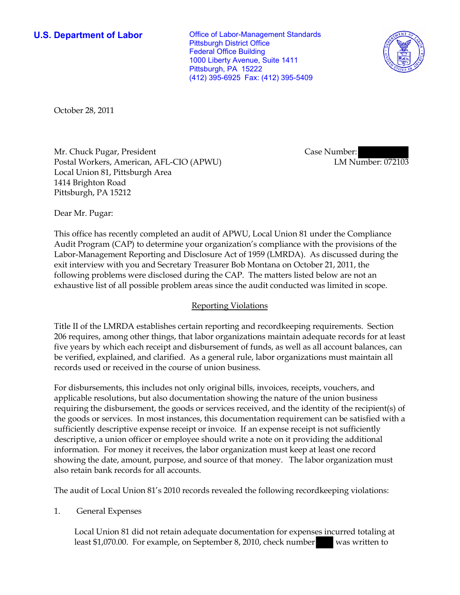**U.S. Department of Labor Conservative Conservative Conservative Conservative Conservative Conservative Conservative Conservative Conservative Conservative Conservative Conservative Conservative Conservative Conservative** Pittsburgh District Office Federal Office Building 1000 Liberty Avenue, Suite 1411 Pittsburgh, PA 15222 (412) 395-6925 Fax: (412) 395-5409



October 28, 2011

Mr. Chuck Pugar, President Postal Workers, American, AFL-CIO (APWU) Local Union 81, Pittsburgh Area 1414 Brighton Road Pittsburgh, PA 15212

Case Number: LM Number: 072103

Dear Mr. Pugar:

This office has recently completed an audit of APWU, Local Union 81 under the Compliance Audit Program (CAP) to determine your organization's compliance with the provisions of the Labor-Management Reporting and Disclosure Act of 1959 (LMRDA). As discussed during the exit interview with you and Secretary Treasurer Bob Montana on October 21, 2011, the following problems were disclosed during the CAP. The matters listed below are not an exhaustive list of all possible problem areas since the audit conducted was limited in scope.

## Reporting Violations

Title II of the LMRDA establishes certain reporting and recordkeeping requirements. Section 206 requires, among other things, that labor organizations maintain adequate records for at least five years by which each receipt and disbursement of funds, as well as all account balances, can be verified, explained, and clarified. As a general rule, labor organizations must maintain all records used or received in the course of union business.

For disbursements, this includes not only original bills, invoices, receipts, vouchers, and applicable resolutions, but also documentation showing the nature of the union business requiring the disbursement, the goods or services received, and the identity of the recipient(s) of the goods or services. In most instances, this documentation requirement can be satisfied with a sufficiently descriptive expense receipt or invoice. If an expense receipt is not sufficiently descriptive, a union officer or employee should write a note on it providing the additional information. For money it receives, the labor organization must keep at least one record showing the date, amount, purpose, and source of that money. The labor organization must also retain bank records for all accounts.

The audit of Local Union 81's 2010 records revealed the following recordkeeping violations:

1. General Expenses

Local Union 81 did not retain adequate documentation for expenses incurred totaling at least \$1,070.00. For example, on September 8, 2010, check number was written to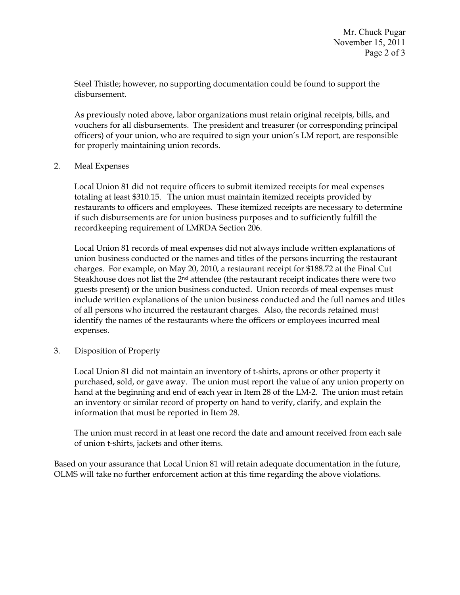Steel Thistle; however, no supporting documentation could be found to support the disbursement.

As previously noted above, labor organizations must retain original receipts, bills, and vouchers for all disbursements. The president and treasurer (or corresponding principal officers) of your union, who are required to sign your union's LM report, are responsible for properly maintaining union records.

2. Meal Expenses

Local Union 81 did not require officers to submit itemized receipts for meal expenses totaling at least \$310.15. The union must maintain itemized receipts provided by restaurants to officers and employees. These itemized receipts are necessary to determine if such disbursements are for union business purposes and to sufficiently fulfill the recordkeeping requirement of LMRDA Section 206.

Local Union 81 records of meal expenses did not always include written explanations of union business conducted or the names and titles of the persons incurring the restaurant charges. For example, on May 20, 2010, a restaurant receipt for \$188.72 at the Final Cut Steakhouse does not list the 2nd attendee (the restaurant receipt indicates there were two guests present) or the union business conducted. Union records of meal expenses must include written explanations of the union business conducted and the full names and titles of all persons who incurred the restaurant charges. Also, the records retained must identify the names of the restaurants where the officers or employees incurred meal expenses.

3. Disposition of Property

Local Union 81 did not maintain an inventory of t-shirts, aprons or other property it purchased, sold, or gave away. The union must report the value of any union property on hand at the beginning and end of each year in Item 28 of the LM-2. The union must retain an inventory or similar record of property on hand to verify, clarify, and explain the information that must be reported in Item 28.

The union must record in at least one record the date and amount received from each sale of union t-shirts, jackets and other items.

Based on your assurance that Local Union 81 will retain adequate documentation in the future, OLMS will take no further enforcement action at this time regarding the above violations.